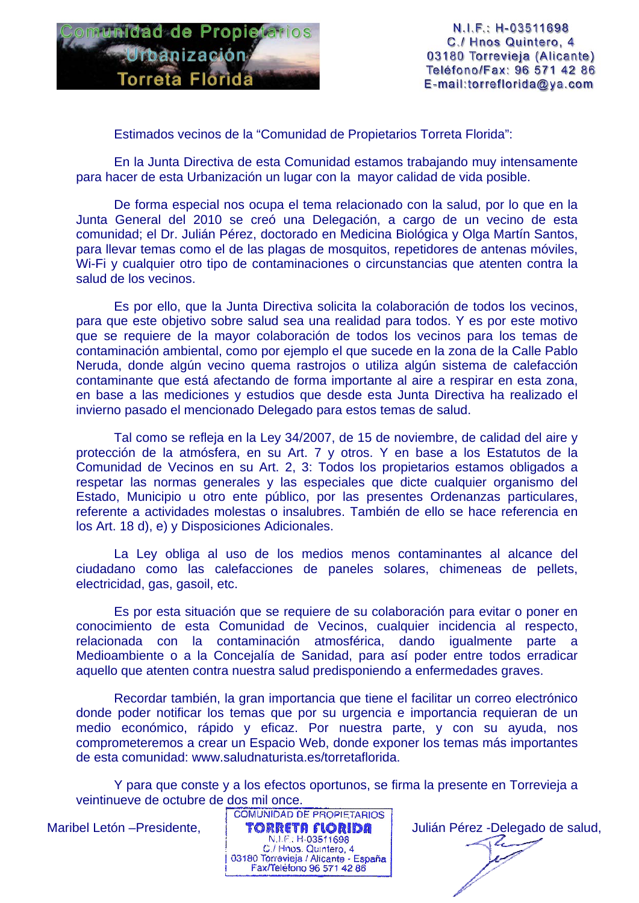

N.I.F.: H-03511698 C./ Hnos Quintero, 4 03180 Torrevieja (Alicante) Teléfono/Fax: 96 571 42 86 E-mail:torreflorida@ya.com

Estimados vecinos de la "Comunidad de Propietarios Torreta Florida":

En la Junta Directiva de esta Comunidad estamos trabajando muy intensamente para hacer de esta Urbanización un lugar con la mayor calidad de vida posible.

De forma especial nos ocupa el tema relacionado con la salud, por lo que en la Junta General del 2010 se creó una Delegación, a cargo de un vecino de esta comunidad; el Dr. Julián Pérez, doctorado en Medicina Biológica y Olga Martín Santos, para llevar temas como el de las plagas de mosquitos, repetidores de antenas móviles, Wi-Fi y cualquier otro tipo de contaminaciones o circunstancias que atenten contra la salud de los vecinos.

Es por ello, que la Junta Directiva solicita la colaboración de todos los vecinos, para que este objetivo sobre salud sea una realidad para todos. Y es por este motivo que se requiere de la mayor colaboración de todos los vecinos para los temas de contaminación ambiental, como por ejemplo el que sucede en la zona de la Calle Pablo Neruda, donde algún vecino quema rastrojos o utiliza algún sistema de calefacción contaminante que está afectando de forma importante al aire a respirar en esta zona, en base a las mediciones y estudios que desde esta Junta Directiva ha realizado el invierno pasado el mencionado Delegado para estos temas de salud.

Tal como se refleja en la Ley 34/2007, de 15 de noviembre, de calidad del aire y protección de la atmósfera, en su Art. 7 y otros. Y en base a los Estatutos de la Comunidad de Vecinos en su Art. 2, 3: Todos los propietarios estamos obligados a respetar las normas generales y las especiales que dicte cualquier organismo del Estado, Municipio u otro ente público, por las presentes Ordenanzas particulares, referente a actividades molestas o insalubres. También de ello se hace referencia en los Art. 18 d), e) y Disposiciones Adicionales.

La Ley obliga al uso de los medios menos contaminantes al alcance del ciudadano como las calefacciones de paneles solares, chimeneas de pellets, electricidad, gas, gasoil, etc.

Es por esta situación que se requiere de su colaboración para evitar o poner en conocimiento de esta Comunidad de Vecinos, cualquier incidencia al respecto, relacionada con la contaminación atmosférica, dando igualmente parte a Medioambiente o a la Concejalía de Sanidad, para así poder entre todos erradicar aquello que atenten contra nuestra salud predisponiendo a enfermedades graves.

Recordar también, la gran importancia que tiene el facilitar un correo electrónico donde poder notificar los temas que por su urgencia e importancia requieran de un medio económico, rápido y eficaz. Por nuestra parte, y con su ayuda, nos comprometeremos a crear un Espacio Web, donde exponer los temas más importantes de esta comunidad: www.saludnaturista.es/torretaflorida.

Y para que conste y a los efectos oportunos, se firma la presente en Torrevieja a veintinueve de octubre de dos mil once.



Z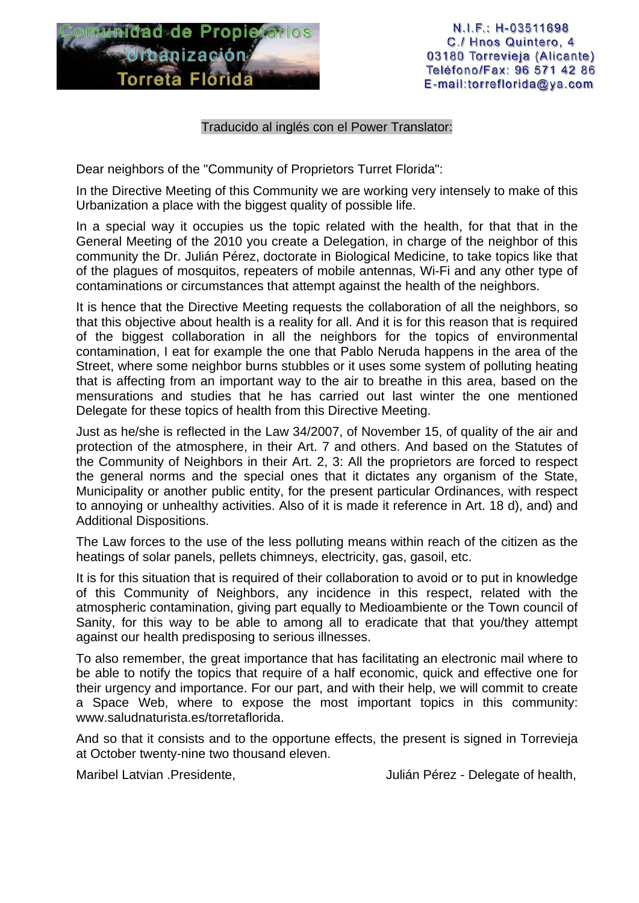

N.I.F.: H-03511698 C./ Hnos Quintero, 4 03180 Torrevieja (Alicante) Teléfono/Fax: 96 571 42 86 E-mail:torreflorida@ya.com

## Traducido al inglés con el Power Translator:

Dear neighbors of the "Community of Proprietors Turret Florida":

In the Directive Meeting of this Community we are working very intensely to make of this Urbanization a place with the biggest quality of possible life.

In a special way it occupies us the topic related with the health, for that that in the General Meeting of the 2010 you create a Delegation, in charge of the neighbor of this community the Dr. Julián Pérez, doctorate in Biological Medicine, to take topics like that of the plagues of mosquitos, repeaters of mobile antennas, Wi-Fi and any other type of contaminations or circumstances that attempt against the health of the neighbors.

It is hence that the Directive Meeting requests the collaboration of all the neighbors, so that this objective about health is a reality for all. And it is for this reason that is required of the biggest collaboration in all the neighbors for the topics of environmental contamination, I eat for example the one that Pablo Neruda happens in the area of the Street, where some neighbor burns stubbles or it uses some system of polluting heating that is affecting from an important way to the air to breathe in this area, based on the mensurations and studies that he has carried out last winter the one mentioned Delegate for these topics of health from this Directive Meeting.

Just as he/she is reflected in the Law 34/2007, of November 15, of quality of the air and protection of the atmosphere, in their Art. 7 and others. And based on the Statutes of the Community of Neighbors in their Art. 2, 3: All the proprietors are forced to respect the general norms and the special ones that it dictates any organism of the State, Municipality or another public entity, for the present particular Ordinances, with respect to annoying or unhealthy activities. Also of it is made it reference in Art. 18 d), and) and Additional Dispositions.

The Law forces to the use of the less polluting means within reach of the citizen as the heatings of solar panels, pellets chimneys, electricity, gas, gasoil, etc.

It is for this situation that is required of their collaboration to avoid or to put in knowledge of this Community of Neighbors, any incidence in this respect, related with the atmospheric contamination, giving part equally to Medioambiente or the Town council of Sanity, for this way to be able to among all to eradicate that that you/they attempt against our health predisposing to serious illnesses.

To also remember, the great importance that has facilitating an electronic mail where to be able to notify the topics that require of a half economic, quick and effective one for their urgency and importance. For our part, and with their help, we will commit to create a Space Web, where to expose the most important topics in this community: www.saludnaturista.es/torretaflorida.

And so that it consists and to the opportune effects, the present is signed in Torrevieja at October twenty-nine two thousand eleven.

Maribel Latvian .Presidente, Julián Pérez - Delegate of health,